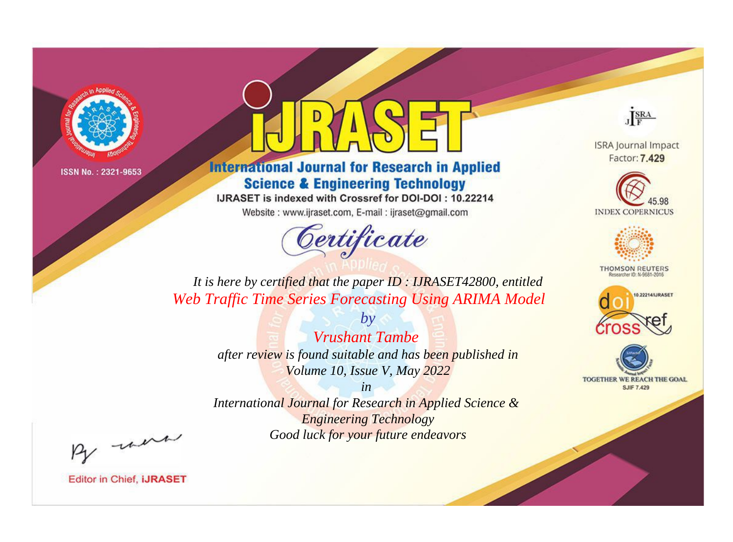

# **International Journal for Research in Applied Science & Engineering Technology**

IJRASET is indexed with Crossref for DOI-DOI: 10.22214

Website: www.ijraset.com, E-mail: ijraset@gmail.com



JERA

**ISRA Journal Impact** Factor: 7.429





**THOMSON REUTERS** 

![](_page_0_Picture_12.jpeg)

TOGETHER WE REACH THE GOAL **SJIF 7.429** 

*It is here by certified that the paper ID : IJRASET42800, entitled Web Traffic Time Series Forecasting Using ARIMA Model*

> *Vrushant Tambe after review is found suitable and has been published in Volume 10, Issue V, May 2022*

*by*

*in* 

*International Journal for Research in Applied Science & Engineering Technology Good luck for your future endeavors*

By morn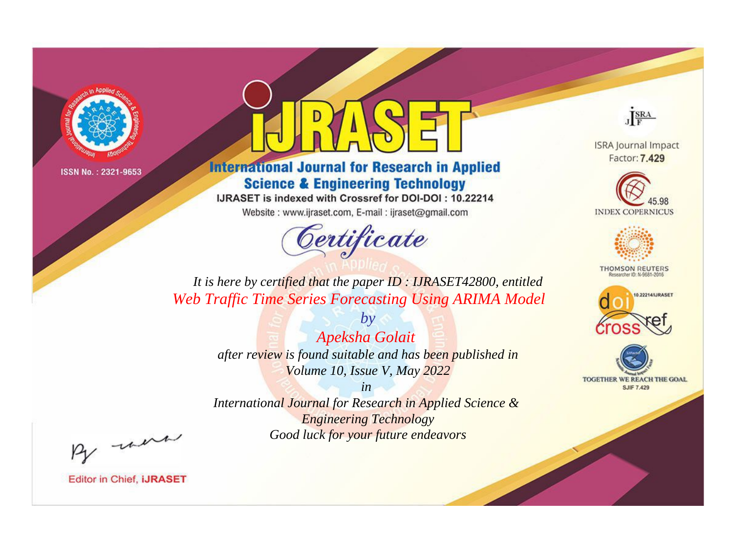![](_page_1_Picture_0.jpeg)

# **International Journal for Research in Applied Science & Engineering Technology**

IJRASET is indexed with Crossref for DOI-DOI: 10.22214

Website: www.ijraset.com, E-mail: ijraset@gmail.com

![](_page_1_Picture_6.jpeg)

JERA

**ISRA Journal Impact** Factor: 7.429

![](_page_1_Picture_9.jpeg)

![](_page_1_Picture_10.jpeg)

**THOMSON REUTERS** 

![](_page_1_Picture_12.jpeg)

TOGETHER WE REACH THE GOAL **SJIF 7.429** 

*It is here by certified that the paper ID : IJRASET42800, entitled Web Traffic Time Series Forecasting Using ARIMA Model*

> *by Apeksha Golait after review is found suitable and has been published in Volume 10, Issue V, May 2022*

> > *in*

*International Journal for Research in Applied Science & Engineering Technology Good luck for your future endeavors*

By morn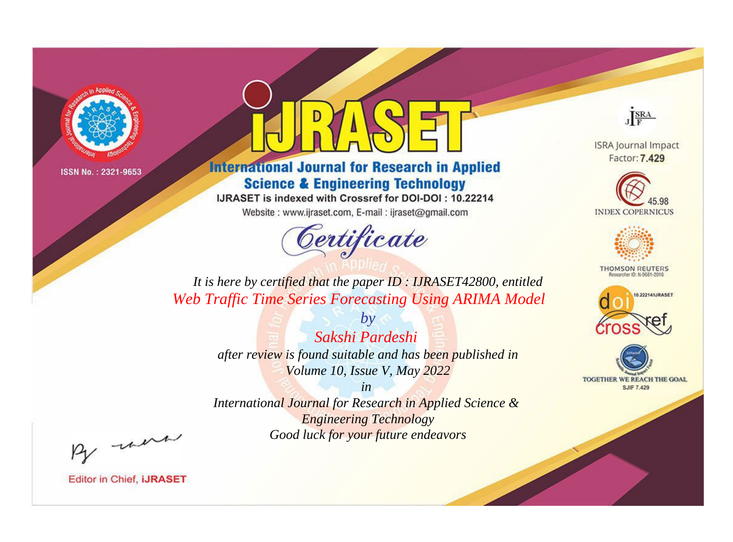![](_page_2_Picture_0.jpeg)

# **International Journal for Research in Applied Science & Engineering Technology**

IJRASET is indexed with Crossref for DOI-DOI: 10.22214

Website: www.ijraset.com, E-mail: ijraset@gmail.com

![](_page_2_Picture_6.jpeg)

JERA

**ISRA Journal Impact** Factor: 7.429

![](_page_2_Picture_9.jpeg)

![](_page_2_Picture_10.jpeg)

**THOMSON REUTERS** 

![](_page_2_Picture_12.jpeg)

TOGETHER WE REACH THE GOAL **SJIF 7.429** 

*It is here by certified that the paper ID : IJRASET42800, entitled Web Traffic Time Series Forecasting Using ARIMA Model*

> *Sakshi Pardeshi after review is found suitable and has been published in Volume 10, Issue V, May 2022*

*by*

*in* 

*International Journal for Research in Applied Science & Engineering Technology Good luck for your future endeavors*

By morn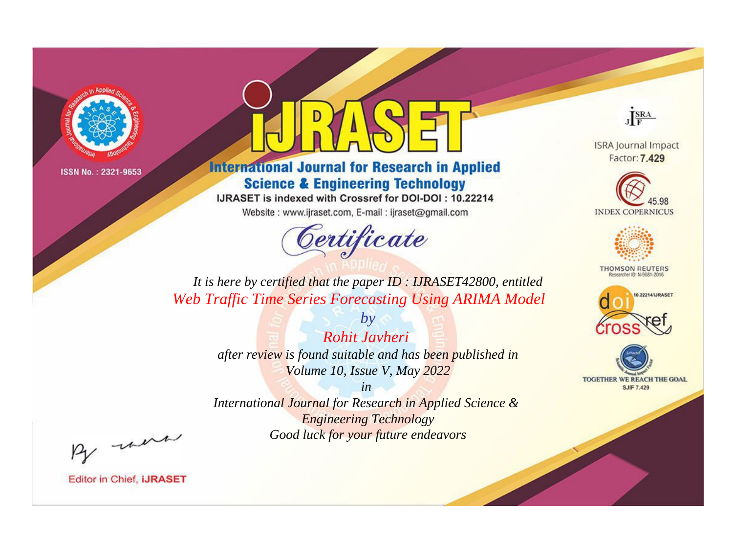![](_page_3_Picture_0.jpeg)

# **International Journal for Research in Applied Science & Engineering Technology**

IJRASET is indexed with Crossref for DOI-DOI: 10.22214

Website: www.ijraset.com, E-mail: ijraset@gmail.com

![](_page_3_Picture_6.jpeg)

JERA

**ISRA Journal Impact** Factor: 7.429

![](_page_3_Picture_9.jpeg)

![](_page_3_Picture_10.jpeg)

**THOMSON REUTERS** 

![](_page_3_Picture_12.jpeg)

TOGETHER WE REACH THE GOAL **SJIF 7.429** 

*It is here by certified that the paper ID : IJRASET42800, entitled Web Traffic Time Series Forecasting Using ARIMA Model*

> *Rohit Javheri after review is found suitable and has been published in Volume 10, Issue V, May 2022*

*by*

*in* 

*International Journal for Research in Applied Science & Engineering Technology Good luck for your future endeavors*

By morn